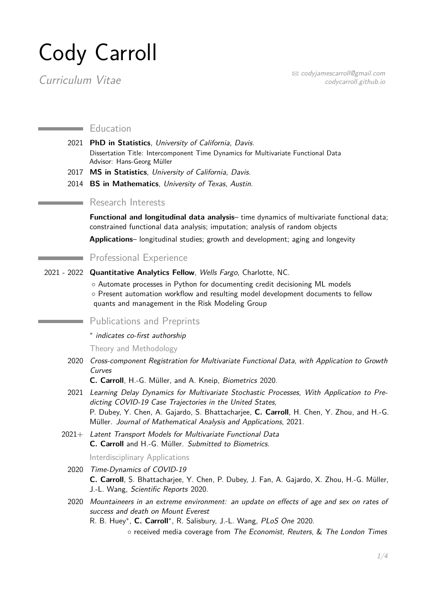# Cody Carroll

 $\sum_{\text{curr}(\text{curr}|\text{curl})} \sum_{\text{curr}(\text{cutr}|\text{curl})} \sum_{\text{curr}(\text{cutr}|\text{curl})} \sum_{\text{curr}(\text{cutr}|\text{curl})} \sum_{\text{curr}(\text{cutr}|\text{curl})} \sum_{\text{curr}(\text{cutr}|\text{curl})} \sum_{\text{curr}(\text{cutr}|\text{curl})} \sum_{\text{curr}(\text{cutr}|\text{curl})} \sum_{\text{curr}(\text{cutr}|\text{curl})} \sum_{\text{curr}(\text{cutr}|\text{curl})} \sum_{\text{curr}(\$ codycarroll.github.io

#### **Education**

- 2021 **PhD in Statistics**, University of California, Davis. Dissertation Title: Intercomponent Time Dynamics for Multivariate Functional Data Advisor: Hans-Georg Müller
- 2017 **MS in Statistics**, University of California, Davis.
- 2014 **BS in Mathematics**, University of Texas, Austin.

# **Research Interests**

**Functional and longitudinal data analysis**– time dynamics of multivariate functional data; constrained functional data analysis; imputation; analysis of random objects

**Applications**– longitudinal studies; growth and development; aging and longevity

# Professional Experience

2021 - 2022 **Quantitative Analytics Fellow**, Wells Fargo, Charlotte, NC.

◦ Automate processes in Python for documenting credit decisioning ML models ◦ Present automation workflow and resulting model development documents to fellow quants and management in the Risk Modeling Group

# Publications and Preprints

∗ indicates co-first authorship

Theory and Methodology

2020 Cross-component Registration for Multivariate Functional Data, with Application to Growth Curves

**C. Carroll**, H.-G. Müller, and A. Kneip, Biometrics 2020.

- 2021 Learning Delay Dynamics for Multivariate Stochastic Processes, With Application to Predicting COVID-19 Case Trajectories in the United States, P. Dubey, Y. Chen, A. Gajardo, S. Bhattacharjee, **C. Carroll**, H. Chen, Y. Zhou, and H.-G. Müller. Journal of Mathematical Analysis and Applications, 2021.
- 2021+ Latent Transport Models for Multivariate Functional Data **C. Carroll** and H.-G. Müller. Submitted to Biometrics.

#### Interdisciplinary Applications

- 2020 Time-Dynamics of COVID-19 **C. Carroll**, S. Bhattacharjee, Y. Chen, P. Dubey, J. Fan, A. Gajardo, X. Zhou, H.-G. Müller, J.-L. Wang, Scientific Reports 2020.
- 2020 Mountaineers in an extreme environment: an update on effects of age and sex on rates of success and death on Mount Everest

R. B. Huey<sup>\*</sup>, C. Carroll<sup>\*</sup>, R. Salisbury, J.-L. Wang, PLoS One 2020.

◦ received media coverage from The Economist, Reuters, & The London Times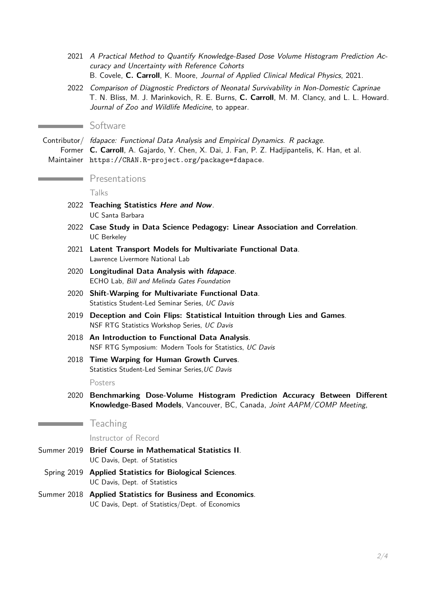- 2021 A Practical Method to Quantify Knowledge-Based Dose Volume Histogram Prediction Accuracy and Uncertainty with Reference Cohorts B. Covele, **C. Carroll**, K. Moore, Journal of Applied Clinical Medical Physics, 2021.
- 2022 Comparison of Diagnostic Predictors of Neonatal Survivability in Non-Domestic Caprinae T. N. Bliss, M. J. Marinkovich, R. E. Burns, **C. Carroll**, M. M. Clancy, and L. L. Howard. Journal of Zoo and Wildlife Medicine, to appear.

# **Software**

and the

Contributor/ fdapace: Functional Data Analysis and Empirical Dynamics. R package. Former **C. Carroll**, A. Gajardo, Y. Chen, X. Dai, J. Fan, P. Z. Hadjipantelis, K. Han, et al. Maintainer <https://CRAN.R-project.org/package=fdapace>.

# **Presentations**

Talks

- 2022 **Teaching Statistics Here and Now**. UC Santa Barbara
- 2022 **Case Study in Data Science Pedagogy: Linear Association and Correlation**. UC Berkeley
- 2021 **Latent Transport Models for Multivariate Functional Data**. Lawrence Livermore National Lab
- 2020 **Longitudinal Data Analysis with fdapace**. ECHO Lab, Bill and Melinda Gates Foundation
- 2020 **Shift-Warping for Multivariate Functional Data**. Statistics Student-Led Seminar Series, UC Davis
- 2019 **Deception and Coin Flips: Statistical Intuition through Lies and Games**. NSF RTG Statistics Workshop Series, UC Davis
- 2018 **An Introduction to Functional Data Analysis**. NSF RTG Symposium: Modern Tools for Statistics, UC Davis
- 2018 **Time Warping for Human Growth Curves**. Statistics Student-Led Seminar Series, UC Davis

Posters

2020 **Benchmarking Dose-Volume Histogram Prediction Accuracy Between Different Knowledge-Based Models**, Vancouver, BC, Canada, Joint AAPM/COMP Meeting,

# **Teaching**

Instructor of Record

- Summer 2019 **Brief Course in Mathematical Statistics II**. UC Davis, Dept. of Statistics
- Spring 2019 **Applied Statistics for Biological Sciences**. UC Davis, Dept. of Statistics
- Summer 2018 **Applied Statistics for Business and Economics**. UC Davis, Dept. of Statistics/Dept. of Economics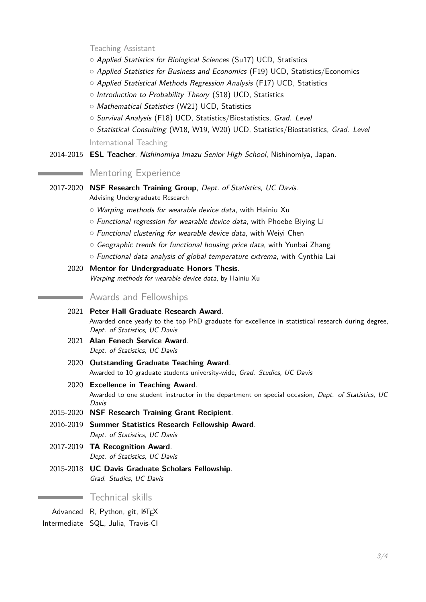Teaching Assistant

- $\circ$  Applied Statistics for Biological Sciences (Su17) UCD, Statistics
- Applied Statistics for Business and Economics (F19) UCD, Statistics/Economics
- $\circ$  Applied Statistical Methods Regression Analysis (F17) UCD, Statistics
- o Introduction to Probability Theory (S18) UCD, Statistics
- o Mathematical Statistics (W21) UCD, Statistics
- o Survival Analysis (F18) UCD, Statistics/Biostatistics, Grad. Level
- { Statistical Consulting (W18, W19, W20) UCD, Statistics/Biostatistics, Grad. Level

International Teaching

2014-2015 **ESL Teacher**, Nishinomiya Imazu Senior High School, Nishinomiya, Japan.

#### **Mentoring Experience**

2017-2020 **NSF Research Training Group**, Dept. of Statistics, UC Davis.

Advising Undergraduate Research

- $\circ$  Warping methods for wearable device data, with Hainiu Xu
- $\circ$  Functional regression for wearable device data, with Phoebe Biying Li
- $\circ$  Functional clustering for wearable device data, with Weivi Chen
- $\circ$  Geographic trends for functional housing price data, with Yunbai Zhang
- $\circ$  Functional data analysis of global temperature extrema, with Cynthia Lai
- 2020 **Mentor for Undergraduate Honors Thesis**. Warping methods for wearable device data, by Hainiu Xu

# **Awards and Fellowships**

- 2021 **Peter Hall Graduate Research Award**. Awarded once yearly to the top PhD graduate for excellence in statistical research during degree, Dept. of Statistics, UC Davis
- 2021 **Alan Fenech Service Award**. Dept. of Statistics, UC Davis
- 2020 **Outstanding Graduate Teaching Award**. Awarded to 10 graduate students university-wide, Grad. Studies, UC Davis
- 2020 **Excellence in Teaching Award**. Awarded to one student instructor in the department on special occasion, Dept. of Statistics, UC Davis
- 2015-2020 **NSF Research Training Grant Recipient**.
- 2016-2019 **Summer Statistics Research Fellowship Award**. Dept. of Statistics, UC Davis
- 2017-2019 **TA Recognition Award**. Dept. of Statistics, UC Davis
- 2015-2018 **UC Davis Graduate Scholars Fellowship**. Grad. Studies, UC Davis

#### **Technical skills**

Advanced R, Python, git, LATEX

Intermediate SQL, Julia, Travis-CI